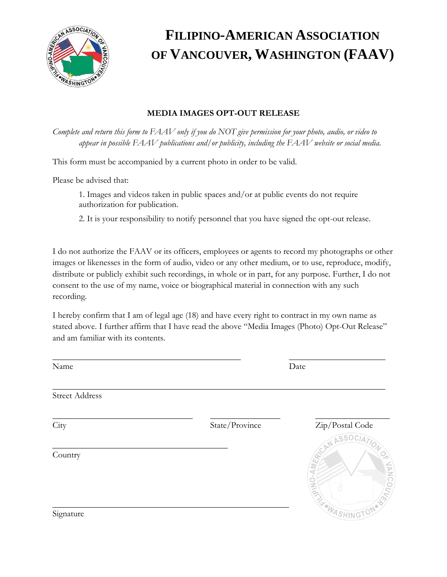

## **FILIPINO-AMERICAN ASSOCIATION OF VANCOUVER, WASHINGTON (FAAV)**

## **MEDIA IMAGES OPT-OUT RELEASE**

*Complete and return this form to FAAV only if you do NOT give permission for your photo, audio, or video to appear in possible FAAV publications and/or publicity, including the FAAV website or social media.*

This form must be accompanied by a current photo in order to be valid.

Please be advised that:

1. Images and videos taken in public spaces and/or at public events do not require authorization for publication.

2. It is your responsibility to notify personnel that you have signed the opt-out release.

I do not authorize the FAAV or its officers, employees or agents to record my photographs or other images or likenesses in the form of audio, video or any other medium, or to use, reproduce, modify, distribute or publicly exhibit such recordings, in whole or in part, for any purpose. Further, I do not consent to the use of my name, voice or biographical material in connection with any such recording.

I hereby confirm that I am of legal age (18) and have every right to contract in my own name as stated above. I further affirm that I have read the above "Media Images (Photo) Opt-Out Release" and am familiar with its contents.

| Name                  |                | Date                 |
|-----------------------|----------------|----------------------|
| <b>Street Address</b> |                |                      |
| City                  | State/Province | Zip/Postal Code      |
| Country               |                | CAN ASSOCIATION      |
|                       |                |                      |
| Signature             |                | <b>EL WASHINGTON</b> |